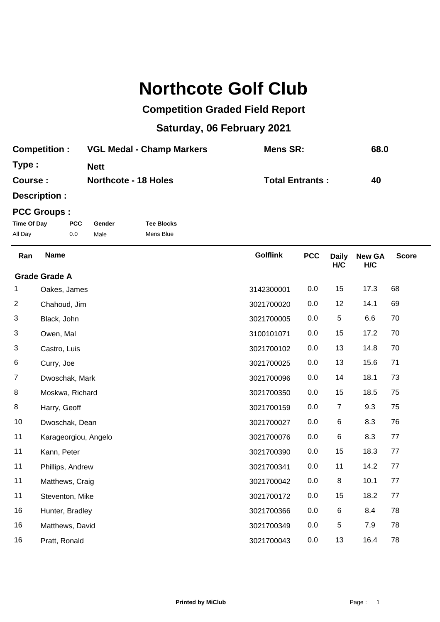## **Northcote Golf Club**

## **Competition Graded Field Report**

## **Saturday, 06 February 2021**

| <b>Competition:</b> | <b>VGL Medal - Champ Markers</b> | Mens SR:               | 68.0 |
|---------------------|----------------------------------|------------------------|------|
| Type:               | <b>Nett</b>                      |                        |      |
| Course:             | <b>Northcote - 18 Holes</b>      | <b>Total Entrants:</b> | 40   |
|                     |                                  |                        |      |

**Description :**

## **PCC Groups :**

| Time Of Day | <b>PCC</b> | Gender | <b>Tee Blocks</b> |
|-------------|------------|--------|-------------------|
| All Day     | 0.0        | Male   | Mens Blue         |

| <b>Name</b>          | <b>Golflink</b> | <b>PCC</b> | <b>Daily</b><br>H/C | <b>New GA</b><br>H/C | <b>Score</b> |
|----------------------|-----------------|------------|---------------------|----------------------|--------------|
| <b>Grade Grade A</b> |                 |            |                     |                      |              |
| Oakes, James         | 3142300001      | 0.0        | 15                  | 17.3                 | 68           |
| Chahoud, Jim         | 3021700020      | 0.0        | 12                  | 14.1                 | 69           |
| Black, John          | 3021700005      | 0.0        | 5                   | 6.6                  | 70           |
| Owen, Mal            | 3100101071      | 0.0        | 15                  | 17.2                 | 70           |
| Castro, Luis         | 3021700102      | 0.0        | 13                  | 14.8                 | 70           |
| Curry, Joe           | 3021700025      | 0.0        | 13                  | 15.6                 | 71           |
| Dwoschak, Mark       | 3021700096      | 0.0        | 14                  | 18.1                 | 73           |
| Moskwa, Richard      | 3021700350      | 0.0        | 15                  | 18.5                 | 75           |
| Harry, Geoff         | 3021700159      | 0.0        | $\overline{7}$      | 9.3                  | 75           |
| Dwoschak, Dean       | 3021700027      | 0.0        | 6                   | 8.3                  | 76           |
| Karageorgiou, Angelo | 3021700076      | 0.0        | 6                   | 8.3                  | 77           |
| Kann, Peter          | 3021700390      | 0.0        | 15                  | 18.3                 | 77           |
| Phillips, Andrew     | 3021700341      | 0.0        | 11                  | 14.2                 | 77           |
| Matthews, Craig      | 3021700042      | 0.0        | 8                   | 10.1                 | 77           |
| Steventon, Mike      | 3021700172      | 0.0        | 15                  | 18.2                 | 77           |
| Hunter, Bradley      | 3021700366      | 0.0        | 6                   | 8.4                  | 78           |
| Matthews, David      | 3021700349      | 0.0        | 5                   | 7.9                  | 78           |
| Pratt, Ronald        | 3021700043      | 0.0        | 13                  | 16.4                 | 78           |
|                      |                 |            |                     |                      |              |